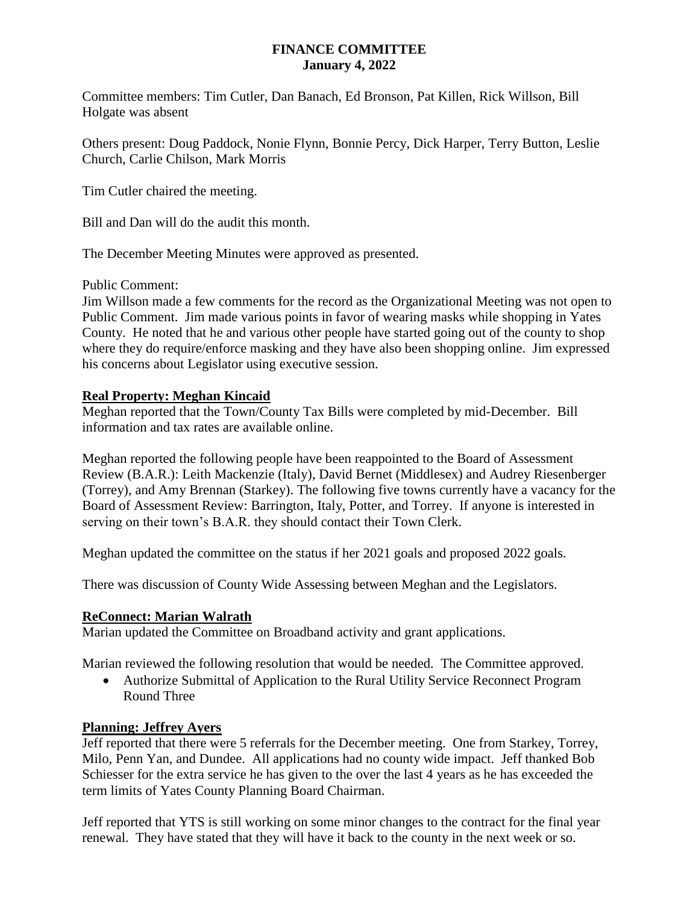### **FINANCE COMMITTEE January 4, 2022**

Committee members: Tim Cutler, Dan Banach, Ed Bronson, Pat Killen, Rick Willson, Bill Holgate was absent

Others present: Doug Paddock, Nonie Flynn, Bonnie Percy, Dick Harper, Terry Button, Leslie Church, Carlie Chilson, Mark Morris

Tim Cutler chaired the meeting.

Bill and Dan will do the audit this month.

The December Meeting Minutes were approved as presented.

Public Comment:

Jim Willson made a few comments for the record as the Organizational Meeting was not open to Public Comment. Jim made various points in favor of wearing masks while shopping in Yates County. He noted that he and various other people have started going out of the county to shop where they do require/enforce masking and they have also been shopping online. Jim expressed his concerns about Legislator using executive session.

#### **Real Property: Meghan Kincaid**

Meghan reported that the Town/County Tax Bills were completed by mid-December. Bill information and tax rates are available online.

Meghan reported the following people have been reappointed to the Board of Assessment Review (B.A.R.): Leith Mackenzie (Italy), David Bernet (Middlesex) and Audrey Riesenberger (Torrey), and Amy Brennan (Starkey). The following five towns currently have a vacancy for the Board of Assessment Review: Barrington, Italy, Potter, and Torrey. If anyone is interested in serving on their town's B.A.R. they should contact their Town Clerk.

Meghan updated the committee on the status if her 2021 goals and proposed 2022 goals.

There was discussion of County Wide Assessing between Meghan and the Legislators.

#### **ReConnect: Marian Walrath**

Marian updated the Committee on Broadband activity and grant applications.

Marian reviewed the following resolution that would be needed. The Committee approved.

 Authorize Submittal of Application to the Rural Utility Service Reconnect Program Round Three

#### **Planning: Jeffrey Ayers**

Jeff reported that there were 5 referrals for the December meeting. One from Starkey, Torrey, Milo, Penn Yan, and Dundee. All applications had no county wide impact. Jeff thanked Bob Schiesser for the extra service he has given to the over the last 4 years as he has exceeded the term limits of Yates County Planning Board Chairman.

Jeff reported that YTS is still working on some minor changes to the contract for the final year renewal. They have stated that they will have it back to the county in the next week or so.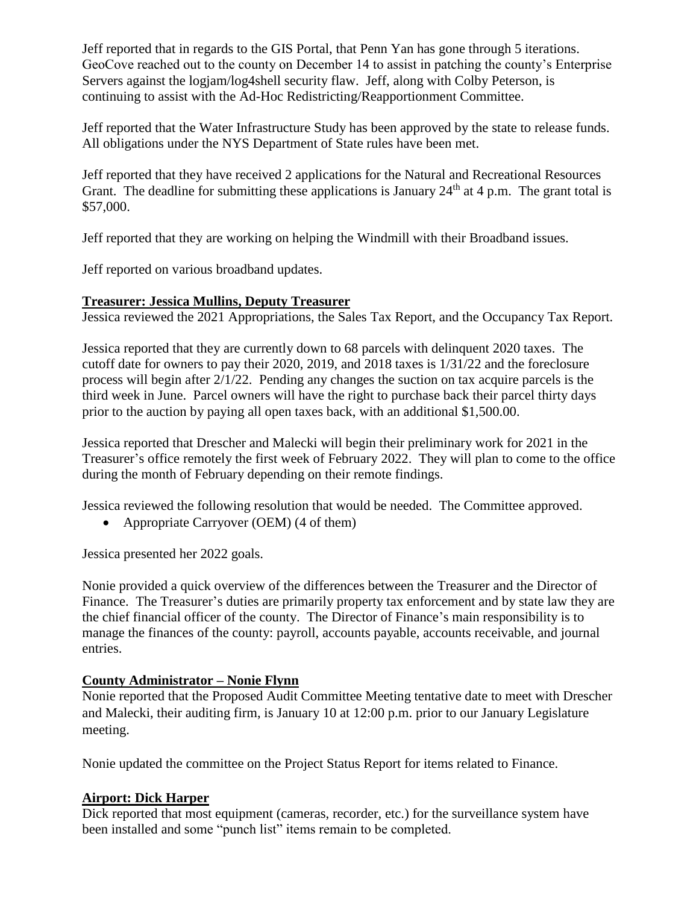Jeff reported that in regards to the GIS Portal, that Penn Yan has gone through 5 iterations. GeoCove reached out to the county on December 14 to assist in patching the county's Enterprise Servers against the logjam/log4shell security flaw. Jeff, along with Colby Peterson, is continuing to assist with the Ad-Hoc Redistricting/Reapportionment Committee.

Jeff reported that the Water Infrastructure Study has been approved by the state to release funds. All obligations under the NYS Department of State rules have been met.

Jeff reported that they have received 2 applications for the Natural and Recreational Resources Grant. The deadline for submitting these applications is January  $24<sup>th</sup>$  at 4 p.m. The grant total is \$57,000.

Jeff reported that they are working on helping the Windmill with their Broadband issues.

Jeff reported on various broadband updates.

### **Treasurer: Jessica Mullins, Deputy Treasurer**

Jessica reviewed the 2021 Appropriations, the Sales Tax Report, and the Occupancy Tax Report.

Jessica reported that they are currently down to 68 parcels with delinquent 2020 taxes. The cutoff date for owners to pay their 2020, 2019, and 2018 taxes is 1/31/22 and the foreclosure process will begin after 2/1/22. Pending any changes the suction on tax acquire parcels is the third week in June. Parcel owners will have the right to purchase back their parcel thirty days prior to the auction by paying all open taxes back, with an additional \$1,500.00.

Jessica reported that Drescher and Malecki will begin their preliminary work for 2021 in the Treasurer's office remotely the first week of February 2022. They will plan to come to the office during the month of February depending on their remote findings.

Jessica reviewed the following resolution that would be needed. The Committee approved.

• Appropriate Carryover (OEM) (4 of them)

Jessica presented her 2022 goals.

Nonie provided a quick overview of the differences between the Treasurer and the Director of Finance. The Treasurer's duties are primarily property tax enforcement and by state law they are the chief financial officer of the county. The Director of Finance's main responsibility is to manage the finances of the county: payroll, accounts payable, accounts receivable, and journal entries.

# **County Administrator – Nonie Flynn**

Nonie reported that the Proposed Audit Committee Meeting tentative date to meet with Drescher and Malecki, their auditing firm, is January 10 at 12:00 p.m. prior to our January Legislature meeting.

Nonie updated the committee on the Project Status Report for items related to Finance.

# **Airport: Dick Harper**

Dick reported that most equipment (cameras, recorder, etc.) for the surveillance system have been installed and some "punch list" items remain to be completed.